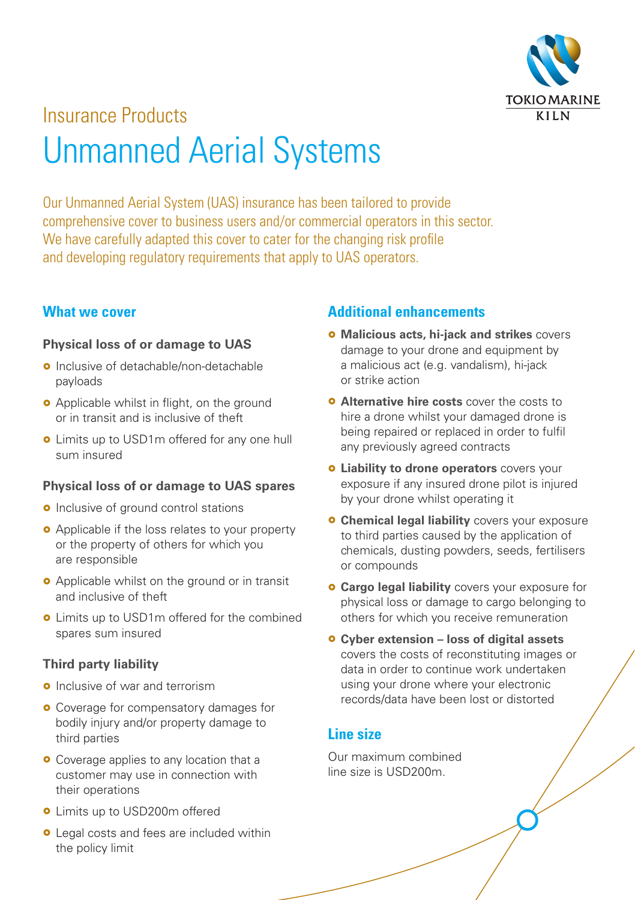

# Insurance Products Unmanned Aerial Systems

Our Unmanned Aerial System (UAS) insurance has been tailored to provide comprehensive cover to business users and/or commercial operators in this sector. We have carefully adapted this cover to cater for the changing risk profile and developing regulatory requirements that apply to UAS operators.

#### **What we cover**

#### **Physical loss of or damage to UAS**

- **o** Inclusive of detachable/non-detachable payloads
- **•** Applicable whilst in flight, on the ground or in transit and is inclusive of theft
- **o** Limits up to USD1m offered for any one hull sum insured

#### **Physical loss of or damage to UAS spares**

- **•** Inclusive of ground control stations
- Applicable if the loss relates to your property or the property of others for which you are responsible
- **•** Applicable whilst on the ground or in transit and inclusive of theft
- $\bullet$  Limits up to USD1m offered for the combined spares sum insured

#### **Third party liability**

- **o** Inclusive of war and terrorism
- **•** Coverage for compensatory damages for bodily injury and/or property damage to third parties
- Coverage applies to any location that a customer may use in connection with their operations
- **·** Limits up to USD200m offered
- **•** Legal costs and fees are included within the policy limit

#### **Additional enhancements**

- $\circ$  Malicious acts, hi-jack and strikes covers damage to your drone and equipment by a malicious act (e.g. vandalism), hi-jack or strike action
- $\circ$  Alternative hire costs cover the costs to hire a drone whilst your damaged drone is being repaired or replaced in order to fulfil any previously agreed contracts
- $\circ$  **Liability to drone operators** covers your exposure if any insured drone pilot is injured by your drone whilst operating it
- $\circ$  Chemical legal liability covers your exposure to third parties caused by the application of chemicals, dusting powders, seeds, fertilisers or compounds
- $\circ$  **Cargo legal liability** covers your exposure for physical loss or damage to cargo belonging to others for which you receive remuneration
- £ **Cyber extension loss of digital assets** covers the costs of reconstituting images or data in order to continue work undertaken using your drone where your electronic records/data have been lost or distorted

### **Line size**

Our maximum combined line size is USD200m.